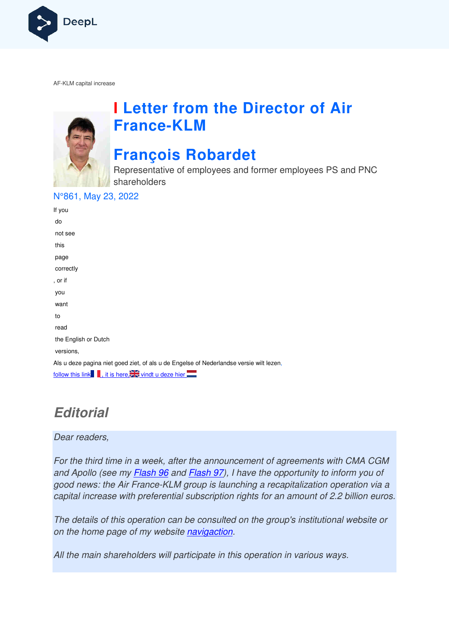

AF-KLM capital increase



# **I Letter from the Director of Air France France-KLM**

# **François Robardet**

Representative of employees and former employees PS and PNC shareholders

#### N°861, May 23, 2022

| If you                                                                                  |
|-----------------------------------------------------------------------------------------|
| do                                                                                      |
| not see                                                                                 |
| this                                                                                    |
| page                                                                                    |
| correctly                                                                               |
| , or if                                                                                 |
| you                                                                                     |
| want                                                                                    |
| to                                                                                      |
| read                                                                                    |
| the English or Dutch                                                                    |
| versions,                                                                               |
| Als u deze pagina niet goed ziet, of als u de Engelse of Nederlandse versie wilt lezen, |
| follow this link , it is here.                                                          |

## **Editorial**

#### Dear readers,

For the third time in a week, after the announcement of agreements with CMA CGM and Apollo (see my *Flash 96* and *Flash 97*), I have the opportunity to inform you of good news: the Air France-KLM group is launching a recapitalization operation via a capital increase with preferential subscription rights for an amount of 2.2 billion euros. 16 and <u>Flash 97</u>), I have the opportunity to inform you of<br>KLM group is launching a recapitalization operation via a<br>ential subscription rights for an amount of 2.2 billion euro.<br>n can be consulted on the group's institut

The details of this operation can be consulted on the group's institutional website or on the home page of my website navigaction.

All the main shareholders will participate in this operation in various ways.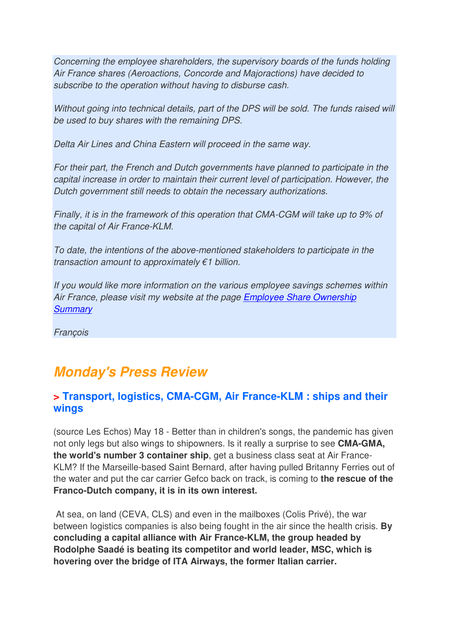Concerning the employee shareholders, the supervisory boards of the funds holding Air France shares (Aeroactions, Concorde and Majoractions) have decided to subscribe to the operation without having to disburse cash.

Without going into technical details, part of the DPS will be sold. The funds raised will be used to buy shares with the remaining DPS.

Delta Air Lines and China Eastern will proceed in the same way.

For their part, the French and Dutch governments have planned to participate in the capital increase in order to maintain their current level of participation. However, the Dutch government still needs to obtain the necessary authorizations.

Finally, it is in the framework of this operation that CMA-CGM will take up to 9% of the capital of Air France-KLM.

To date, the intentions of the above-mentioned stakeholders to participate in the transaction amount to approximately  $\epsilon$ 1 billion.

If you would like more information on the various employee savings schemes within Air France, please visit my website at the page Employee Share Ownership **Summary** 

**François** 

## **Monday's Press Review**

#### **> Transport, logistics, CMA-CGM, Air France-KLM : ships and their wings**

(source Les Echos) May 18 - Better than in children's songs, the pandemic has given not only legs but also wings to shipowners. Is it really a surprise to see **CMA-GMA, the world's number 3 container ship**, get a business class seat at Air France-KLM? If the Marseille-based Saint Bernard, after having pulled Britanny Ferries out of the water and put the car carrier Gefco back on track, is coming to **the rescue of the Franco-Dutch company, it is in its own interest.** 

 At sea, on land (CEVA, CLS) and even in the mailboxes (Colis Privé), the war between logistics companies is also being fought in the air since the health crisis. **By concluding a capital alliance with Air France-KLM, the group headed by Rodolphe Saadé is beating its competitor and world leader, MSC, which is hovering over the bridge of ITA Airways, the former Italian carrier.**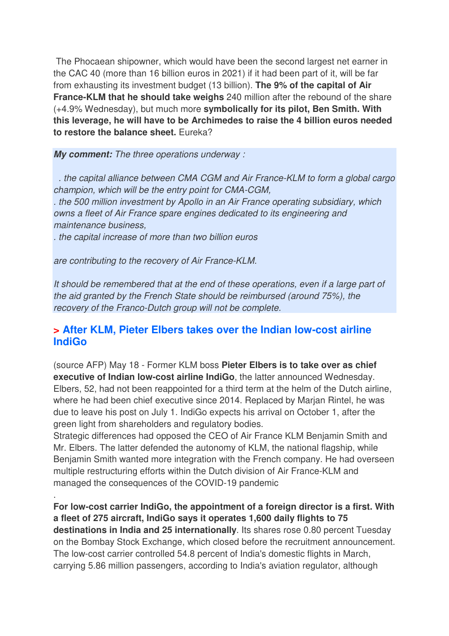The Phocaean shipowner, which would have been the second largest net earner in the CAC 40 (more than 16 billion euros in 2021) if it had been part of it, will be far from exhausting its investment budget (13 billion). **The 9% of the capital of Air France-KLM that he should take weighs** 240 million after the rebound of the share (+4.9% Wednesday), but much more **symbolically for its pilot, Ben Smith. With this leverage, he will have to be Archimedes to raise the 4 billion euros needed to restore the balance sheet.** Eureka?

**My comment:** The three operations underway :

 . the capital alliance between CMA CGM and Air France-KLM to form a global cargo champion, which will be the entry point for CMA-CGM, . the 500 million investment by Apollo in an Air France operating subsidiary, which owns a fleet of Air France spare engines dedicated to its engineering and maintenance business,

. the capital increase of more than two billion euros

are contributing to the recovery of Air France-KLM.

.

It should be remembered that at the end of these operations, even if a large part of the aid granted by the French State should be reimbursed (around 75%), the recovery of the Franco-Dutch group will not be complete.

#### **> After KLM, Pieter Elbers takes over the Indian low-cost airline IndiGo**

(source AFP) May 18 - Former KLM boss **Pieter Elbers is to take over as chief executive of Indian low-cost airline IndiGo**, the latter announced Wednesday. Elbers, 52, had not been reappointed for a third term at the helm of the Dutch airline, where he had been chief executive since 2014. Replaced by Marjan Rintel, he was due to leave his post on July 1. IndiGo expects his arrival on October 1, after the green light from shareholders and regulatory bodies.

Strategic differences had opposed the CEO of Air France KLM Benjamin Smith and Mr. Elbers. The latter defended the autonomy of KLM, the national flagship, while Benjamin Smith wanted more integration with the French company. He had overseen multiple restructuring efforts within the Dutch division of Air France-KLM and managed the consequences of the COVID-19 pandemic

**For low-cost carrier IndiGo, the appointment of a foreign director is a first. With a fleet of 275 aircraft, IndiGo says it operates 1,600 daily flights to 75 destinations in India and 25 internationally**. Its shares rose 0.80 percent Tuesday on the Bombay Stock Exchange, which closed before the recruitment announcement. The low-cost carrier controlled 54.8 percent of India's domestic flights in March, carrying 5.86 million passengers, according to India's aviation regulator, although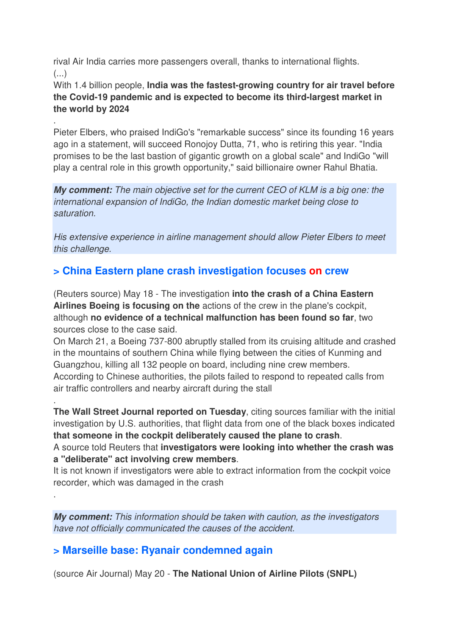rival Air India carries more passengers overall, thanks to international flights. (...)

.

.

.

With 1.4 billion people, **India was the fastest-growing country for air travel before the Covid-19 pandemic and is expected to become its third-largest market in the world by 2024**

Pieter Elbers, who praised IndiGo's "remarkable success" since its founding 16 years ago in a statement, will succeed Ronojoy Dutta, 71, who is retiring this year. "India promises to be the last bastion of gigantic growth on a global scale" and IndiGo "will play a central role in this growth opportunity," said billionaire owner Rahul Bhatia.

**My comment:** The main objective set for the current CEO of KLM is a big one: the international expansion of IndiGo, the Indian domestic market being close to saturation.

His extensive experience in airline management should allow Pieter Elbers to meet this challenge.

### **> China Eastern plane crash investigation focuses on crew**

(Reuters source) May 18 - The investigation **into the crash of a China Eastern Airlines Boeing is focusing on the** actions of the crew in the plane's cockpit, although **no evidence of a technical malfunction has been found so far**, two sources close to the case said.

On March 21, a Boeing 737-800 abruptly stalled from its cruising altitude and crashed in the mountains of southern China while flying between the cities of Kunming and Guangzhou, killing all 132 people on board, including nine crew members. According to Chinese authorities, the pilots failed to respond to repeated calls from air traffic controllers and nearby aircraft during the stall

**The Wall Street Journal reported on Tuesday**, citing sources familiar with the initial investigation by U.S. authorities, that flight data from one of the black boxes indicated **that someone in the cockpit deliberately caused the plane to crash**.

A source told Reuters that **investigators were looking into whether the crash was a "deliberate" act involving crew members**.

It is not known if investigators were able to extract information from the cockpit voice recorder, which was damaged in the crash

**My comment:** This information should be taken with caution, as the investigators have not officially communicated the causes of the accident.

### **> Marseille base: Ryanair condemned again**

(source Air Journal) May 20 - **The National Union of Airline Pilots (SNPL)**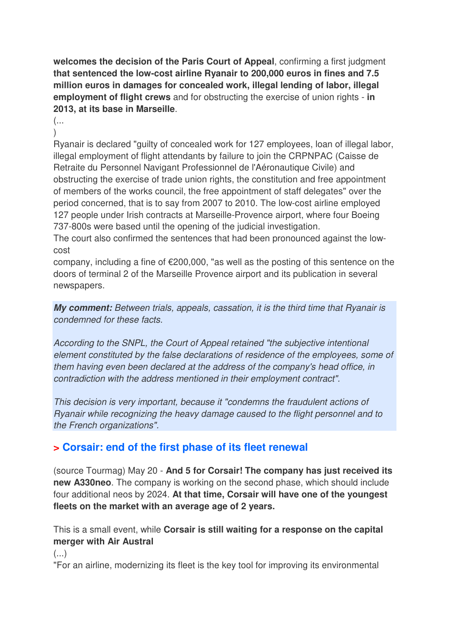**welcomes the decision of the Paris Court of Appeal**, confirming a first judgment **that sentenced the low-cost airline Ryanair to 200,000 euros in fines and 7.5 million euros in damages for concealed work, illegal lending of labor, illegal employment of flight crews** and for obstructing the exercise of union rights - **in 2013, at its base in Marseille**.

(...  $\lambda$ 

Ryanair is declared "guilty of concealed work for 127 employees, loan of illegal labor, illegal employment of flight attendants by failure to join the CRPNPAC (Caisse de Retraite du Personnel Navigant Professionnel de l'Aéronautique Civile) and obstructing the exercise of trade union rights, the constitution and free appointment of members of the works council, the free appointment of staff delegates" over the period concerned, that is to say from 2007 to 2010. The low-cost airline employed 127 people under Irish contracts at Marseille-Provence airport, where four Boeing 737-800s were based until the opening of the judicial investigation.

The court also confirmed the sentences that had been pronounced against the lowcost

company, including a fine of  $\epsilon$ 200,000, "as well as the posting of this sentence on the doors of terminal 2 of the Marseille Provence airport and its publication in several newspapers.

**My comment:** Between trials, appeals, cassation, it is the third time that Ryanair is condemned for these facts.

According to the SNPL, the Court of Appeal retained "the subjective intentional element constituted by the false declarations of residence of the employees, some of them having even been declared at the address of the company's head office, in contradiction with the address mentioned in their employment contract".

This decision is very important, because it "condemns the fraudulent actions of Ryanair while recognizing the heavy damage caused to the flight personnel and to the French organizations".

### **> Corsair: end of the first phase of its fleet renewal**

(source Tourmag) May 20 - **And 5 for Corsair! The company has just received its new A330neo**. The company is working on the second phase, which should include four additional neos by 2024. **At that time, Corsair will have one of the youngest fleets on the market with an average age of 2 years.**

This is a small event, while **Corsair is still waiting for a response on the capital merger with Air Austral** 

 $($ ...)

"For an airline, modernizing its fleet is the key tool for improving its environmental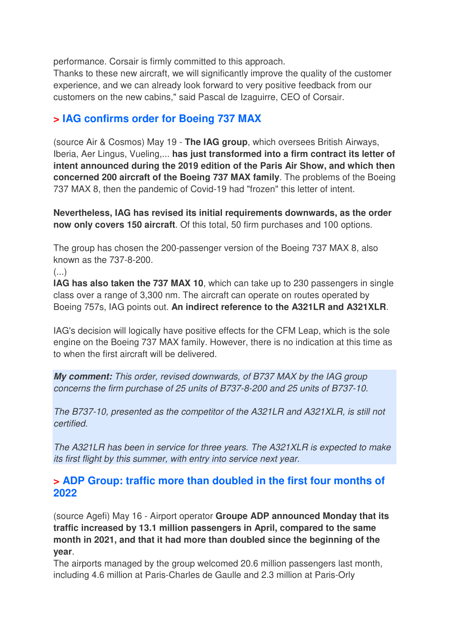performance. Corsair is firmly committed to this approach.

Thanks to these new aircraft, we will significantly improve the quality of the customer experience, and we can already look forward to very positive feedback from our customers on the new cabins," said Pascal de Izaguirre, CEO of Corsair.

### **> IAG confirms order for Boeing 737 MAX**

(source Air & Cosmos) May 19 - **The IAG group**, which oversees British Airways, Iberia, Aer Lingus, Vueling,... **has just transformed into a firm contract its letter of intent announced during the 2019 edition of the Paris Air Show, and which then concerned 200 aircraft of the Boeing 737 MAX family**. The problems of the Boeing 737 MAX 8, then the pandemic of Covid-19 had "frozen" this letter of intent.

**Nevertheless, IAG has revised its initial requirements downwards, as the order now only covers 150 aircraft**. Of this total, 50 firm purchases and 100 options.

The group has chosen the 200-passenger version of the Boeing 737 MAX 8, also known as the 737-8-200.

 $\left( \ldots \right)$ 

**IAG has also taken the 737 MAX 10**, which can take up to 230 passengers in single class over a range of 3,300 nm. The aircraft can operate on routes operated by Boeing 757s, IAG points out. **An indirect reference to the A321LR and A321XLR**.

IAG's decision will logically have positive effects for the CFM Leap, which is the sole engine on the Boeing 737 MAX family. However, there is no indication at this time as to when the first aircraft will be delivered.

**My comment:** This order, revised downwards, of B737 MAX by the IAG group concerns the firm purchase of 25 units of B737-8-200 and 25 units of B737-10.

The B737-10, presented as the competitor of the A321LR and A321XLR, is still not certified.

The A321LR has been in service for three years. The A321XLR is expected to make its first flight by this summer, with entry into service next year.

#### **> ADP Group: traffic more than doubled in the first four months of 2022**

(source Agefi) May 16 - Airport operator **Groupe ADP announced Monday that its traffic increased by 13.1 million passengers in April, compared to the same month in 2021, and that it had more than doubled since the beginning of the year**.

The airports managed by the group welcomed 20.6 million passengers last month, including 4.6 million at Paris-Charles de Gaulle and 2.3 million at Paris-Orly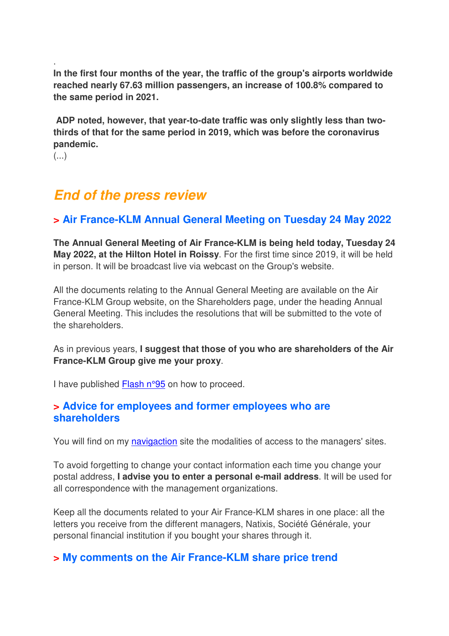**In the first four months of the year, the traffic of the group's airports worldwide reached nearly 67.63 million passengers, an increase of 100.8% compared to the same period in 2021.** 

 **ADP noted, however, that year-to-date traffic was only slightly less than twothirds of that for the same period in 2019, which was before the coronavirus pandemic.** 

(...)

.

## **End of the press review**

#### **> Air France-KLM Annual General Meeting on Tuesday 24 May 2022**

**The Annual General Meeting of Air France-KLM is being held today, Tuesday 24 May 2022, at the Hilton Hotel in Roissy**. For the first time since 2019, it will be held in person. It will be broadcast live via webcast on the Group's website.

All the documents relating to the Annual General Meeting are available on the Air France-KLM Group website, on the Shareholders page, under the heading Annual General Meeting. This includes the resolutions that will be submitted to the vote of the shareholders.

As in previous years, **I suggest that those of you who are shareholders of the Air France-KLM Group give me your proxy**.

I have published Flash n°95 on how to proceed.

#### **> Advice for employees and former employees who are shareholders**

You will find on my navigaction site the modalities of access to the managers' sites.

To avoid forgetting to change your contact information each time you change your postal address, **I advise you to enter a personal e-mail address**. It will be used for all correspondence with the management organizations.

Keep all the documents related to your Air France-KLM shares in one place: all the letters you receive from the different managers, Natixis, Société Générale, your personal financial institution if you bought your shares through it.

#### **> My comments on the Air France-KLM share price trend**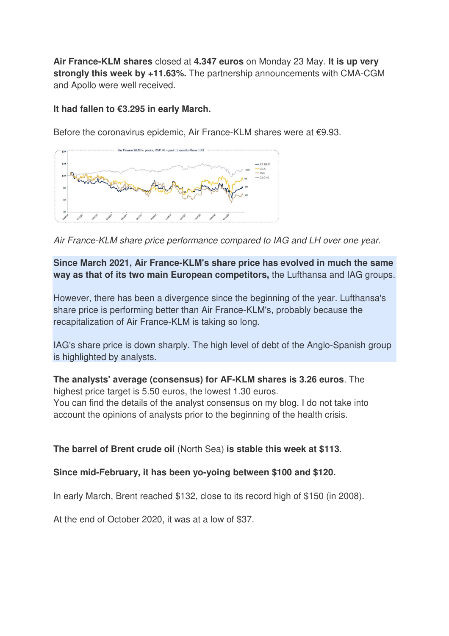**Air France-KLM shares** closed at **4.347 euros** on Monday 23 May. **It is up very strongly this week by +11.63%.** The partnership announcements with CMA-CGM and Apollo were well received.

#### **It had fallen to €3.295 in early March.**

Before the coronavirus epidemic, Air France-KLM shares were at €9.93.



Air France-KLM share price performance compared to IAG and LH over one year.

**Since March 2021, Air France-KLM's share price has evolved in much the same way as that of its two main European competitors,** the Lufthansa and IAG groups.

However, there has been a divergence since the beginning of the year. Lufthansa's share price is performing better than Air France-KLM's, probably because the recapitalization of Air France-KLM is taking so long.

IAG's share price is down sharply. The high level of debt of the Anglo-Spanish group is highlighted by analysts.

**The analysts' average (consensus) for AF-KLM shares is 3.26 euros**. The highest price target is 5.50 euros, the lowest 1.30 euros.

You can find the details of the analyst consensus on my blog. I do not take into account the opinions of analysts prior to the beginning of the health crisis.

**The barrel of Brent crude oil** (North Sea) **is stable this week at \$113**.

**Since mid-February, it has been yo-yoing between \$100 and \$120.**

In early March, Brent reached \$132, close to its record high of \$150 (in 2008).

At the end of October 2020, it was at a low of \$37.